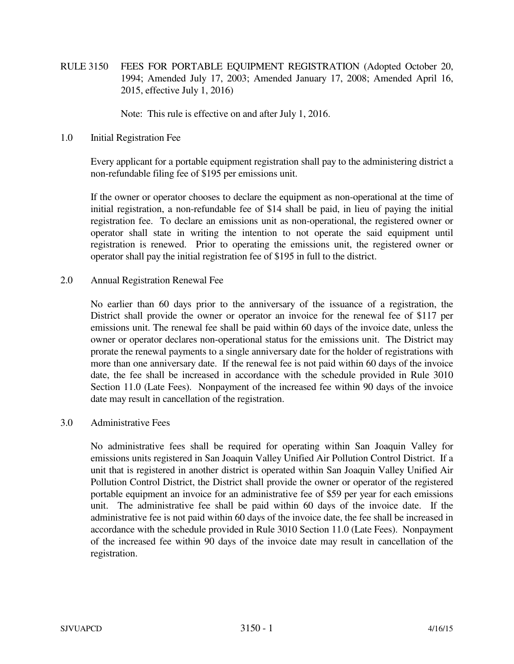RULE 3150 FEES FOR PORTABLE EQUIPMENT REGISTRATION (Adopted October 20, 1994; Amended July 17, 2003; Amended January 17, 2008; Amended April 16, 2015, effective July 1, 2016)

Note: This rule is effective on and after July 1, 2016.

1.0 Initial Registration Fee

 Every applicant for a portable equipment registration shall pay to the administering district a non-refundable filing fee of \$195 per emissions unit.

 If the owner or operator chooses to declare the equipment as non-operational at the time of initial registration, a non-refundable fee of \$14 shall be paid, in lieu of paying the initial registration fee. To declare an emissions unit as non-operational, the registered owner or operator shall state in writing the intention to not operate the said equipment until registration is renewed. Prior to operating the emissions unit, the registered owner or operator shall pay the initial registration fee of \$195 in full to the district.

2.0 Annual Registration Renewal Fee

 No earlier than 60 days prior to the anniversary of the issuance of a registration, the District shall provide the owner or operator an invoice for the renewal fee of \$117 per emissions unit. The renewal fee shall be paid within 60 days of the invoice date, unless the owner or operator declares non-operational status for the emissions unit. The District may prorate the renewal payments to a single anniversary date for the holder of registrations with more than one anniversary date. If the renewal fee is not paid within 60 days of the invoice date, the fee shall be increased in accordance with the schedule provided in Rule 3010 Section 11.0 (Late Fees). Nonpayment of the increased fee within 90 days of the invoice date may result in cancellation of the registration.

## 3.0 Administrative Fees

 No administrative fees shall be required for operating within San Joaquin Valley for emissions units registered in San Joaquin Valley Unified Air Pollution Control District. If a unit that is registered in another district is operated within San Joaquin Valley Unified Air Pollution Control District, the District shall provide the owner or operator of the registered portable equipment an invoice for an administrative fee of \$59 per year for each emissions unit. The administrative fee shall be paid within 60 days of the invoice date. If the administrative fee is not paid within 60 days of the invoice date, the fee shall be increased in accordance with the schedule provided in Rule 3010 Section 11.0 (Late Fees). Nonpayment of the increased fee within 90 days of the invoice date may result in cancellation of the registration.